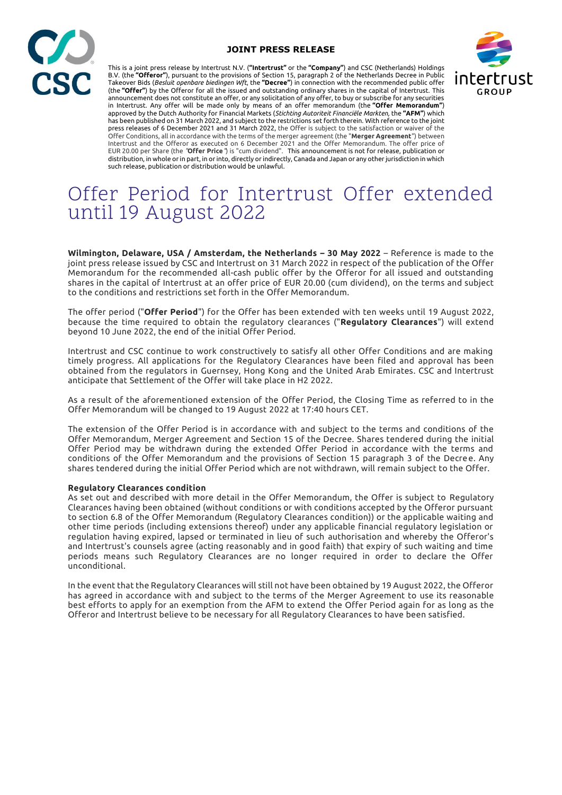





This is a joint press release by Intertrust N.V. (**"Intertrust"** or the **"Company"**) and CSC (Netherlands) Holdings B.V. (the **"Offeror"**), pursuant to the provisions of Section 15, paragraph 2 of the Netherlands Decree in Public Takeover Bids (*Besluit openbare biedingen Wft*, the **"Decree"**) in connection with the recommended public offer (the **"Offer"**) by the Offeror for all the issued and outstanding ordinary shares in the capital of Intertrust. This announcement does not constitute an offer, or any solicitation of any offer, to buy or subscribe for any securities in Intertrust. Any offer will be made only by means of an offer memorandum (the **"Offer Memorandum"**) approved by the Dutch Authority for Financial Markets (*Stichting Autoriteit Financiële Markten,* the **"AFM"**) which has been published on 31 March 2022, and subject to the restrictions set forth therein. With reference to the joint press releases of 6 December 2021 and 31 March 2022, the Offer is subject to the satisfaction or waiver of the Offer Conditions, all in accordance with the terms of the merger agreement (the "**Merger Agreement**") between Intertrust and the Offeror as executed on 6 December 2021 and the Offer Memorandum. The offer price of EUR 20.00 per Share (the *"***Offer Price***"*) is "cum dividend". This announcement is not for release, publication or distribution, in whole or in part, in or into, directly or indirectly, Canada and Japan or any other jurisdiction in which such release, publication or distribution would be unlawful.

# Offer Period for Intertrust Offer extended until 19 August 2022

**Wilmington, Delaware, USA / Amsterdam, the Netherlands – 30 May 2022** – Reference is made to the joint press release issued by CSC and Intertrust on 31 March 2022 in respect of the publication of the Offer Memorandum for the recommended all-cash public offer by the Offeror for all issued and outstanding shares in the capital of Intertrust at an offer price of EUR 20.00 (cum dividend), on the terms and subject to the conditions and restrictions set forth in the Offer Memorandum.

The offer period ("**Offer Period**") for the Offer has been extended with ten weeks until 19 August 2022, because the time required to obtain the regulatory clearances ("**Regulatory Clearances**") will extend beyond 10 June 2022, the end of the initial Offer Period.

Intertrust and CSC continue to work constructively to satisfy all other Offer Conditions and are making timely progress. All applications for the Regulatory Clearances have been filed and approval has been obtained from the regulators in Guernsey, Hong Kong and the United Arab Emirates. CSC and Intertrust anticipate that Settlement of the Offer will take place in H2 2022.

As a result of the aforementioned extension of the Offer Period, the Closing Time as referred to in the Offer Memorandum will be changed to 19 August 2022 at 17:40 hours CET.

The extension of the Offer Period is in accordance with and subject to the terms and conditions of the Offer Memorandum, Merger Agreement and Section 15 of the Decree. Shares tendered during the initial Offer Period may be withdrawn during the extended Offer Period in accordance with the terms and conditions of the Offer Memorandum and the provisions of Section 15 paragraph 3 of the Decree. Any shares tendered during the initial Offer Period which are not withdrawn, will remain subject to the Offer.

#### **Regulatory Clearances condition**

As set out and described with more detail in the Offer Memorandum, the Offer is subject to Regulatory Clearances having been obtained (without conditions or with conditions accepted by the Offeror pursuant to section 6.8 of the Offer Memorandum (Regulatory Clearances condition)) or the applicable waiting and other time periods (including extensions thereof) under any applicable financial regulatory legislation or regulation having expired, lapsed or terminated in lieu of such authorisation and whereby the Offeror's and Intertrust's counsels agree (acting reasonably and in good faith) that expiry of such waiting and time periods means such Regulatory Clearances are no longer required in order to declare the Offer unconditional.

In the event that the Regulatory Clearances will still not have been obtained by 19 August 2022, the Offeror has agreed in accordance with and subject to the terms of the Merger Agreement to use its reasonable best efforts to apply for an exemption from the AFM to extend the Offer Period again for as long as the Offeror and Intertrust believe to be necessary for all Regulatory Clearances to have been satisfied.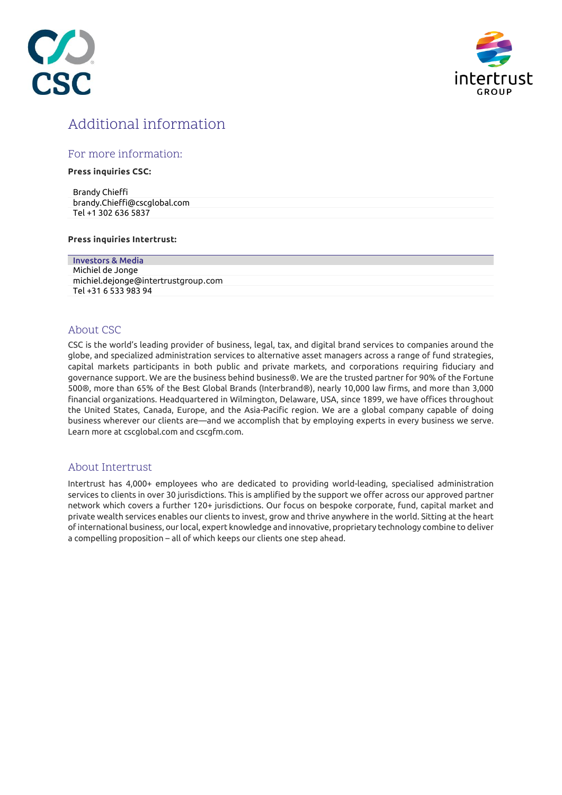



# Additional information

#### For more information:

#### **Press inquiries CSC:**

| Brandy Chieffi               |  |
|------------------------------|--|
| brandy.Chieffi@cscqlobal.com |  |
| Tel +1 302 636 5837          |  |

#### **Press inquiries Intertrust:**

| <b>Investors &amp; Media</b>        |
|-------------------------------------|
| Michiel de Jonge                    |
| michiel.dejonge@intertrustgroup.com |
| Tel +31 6 533 983 94                |
|                                     |

## About CSC

CSC is the world's leading provider of business, legal, tax, and digital brand services to companies around the globe, and specialized administration services to alternative asset managers across a range of fund strategies, capital markets participants in both public and private markets, and corporations requiring fiduciary and governance support. We are the business behind business®. We are the trusted partner for 90% of the Fortune 500®, more than 65% of the Best Global Brands (Interbrand®), nearly 10,000 law firms, and more than 3,000 financial organizations. Headquartered in Wilmington, Delaware, USA, since 1899, we have offices throughout the United States, Canada, Europe, and the Asia-Pacific region. We are a global company capable of doing business wherever our clients are—and we accomplish that by employing experts in every business we serve. Learn more at cscglobal.com and cscgfm.com.

#### About Intertrust

Intertrust has 4,000+ employees who are dedicated to providing world-leading, specialised administration services to clients in over 30 jurisdictions. This is amplified by the support we offer across our approved partner network which covers a further 120+ jurisdictions. Our focus on bespoke corporate, fund, capital market and private wealth services enables our clients to invest, grow and thrive anywhere in the world. Sitting at the heart of international business, our local, expert knowledge and innovative, proprietary technology combine to deliver a compelling proposition – all of which keeps our clients one step ahead.